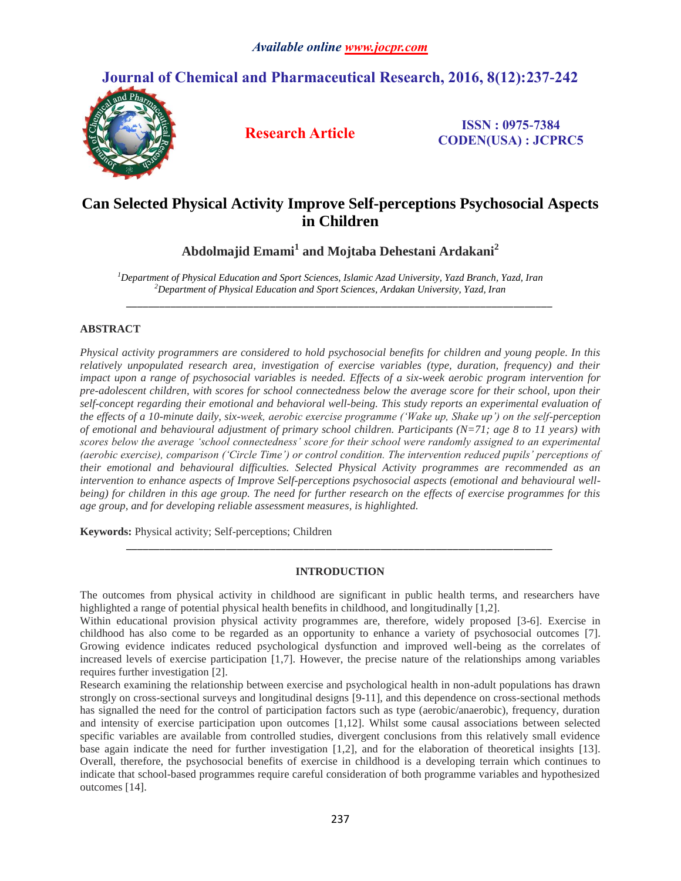# **Journal of Chemical and Pharmaceutical Research, 2016, 8(12):237-242**



**Research Article ISSN : 0975-7384 CODEN(USA) : JCPRC5**

# **Can Selected Physical Activity Improve Self-perceptions Psychosocial Aspects in Children**

**Abdolmajid Emami<sup>1</sup> and Mojtaba Dehestani Ardakani<sup>2</sup>**

*\_\_\_\_\_\_\_\_\_\_\_\_\_\_\_\_\_\_\_\_\_\_\_\_\_\_\_\_\_\_\_\_\_\_\_\_\_\_\_\_\_\_\_\_\_\_\_\_\_\_\_\_\_\_\_\_\_\_\_\_\_\_\_\_\_\_\_\_\_\_\_\_\_\_\_\_\_*

*<sup>1</sup>Department of Physical Education and Sport Sciences, Islamic Azad University, Yazd Branch, Yazd, Iran <sup>2</sup>Department of Physical Education and Sport Sciences, Ardakan University, Yazd, Iran*

# **ABSTRACT**

*Physical activity programmers are considered to hold psychosocial benefits for children and young people. In this relatively unpopulated research area, investigation of exercise variables (type, duration, frequency) and their impact upon a range of psychosocial variables is needed. Effects of a six-week aerobic program intervention for pre-adolescent children, with scores for school connectedness below the average score for their school, upon their self-concept regarding their emotional and behavioral well-being. This study reports an experimental evaluation of the effects of a 10-minute daily, six-week, aerobic exercise programme ('Wake up, Shake up') on the self-perception of emotional and behavioural adjustment of primary school children. Participants (N=71; age 8 to 11 years) with scores below the average 'school connectedness' score for their school were randomly assigned to an experimental (aerobic exercise), comparison ('Circle Time') or control condition. The intervention reduced pupils' perceptions of their emotional and behavioural difficulties. Selected Physical Activity programmes are recommended as an intervention to enhance aspects of Improve Self-perceptions psychosocial aspects (emotional and behavioural wellbeing) for children in this age group. The need for further research on the effects of exercise programmes for this age group, and for developing reliable assessment measures, is highlighted.*

**Keywords:** Physical activity; Self-perceptions; Children

# **INTRODUCTION**

*\_\_\_\_\_\_\_\_\_\_\_\_\_\_\_\_\_\_\_\_\_\_\_\_\_\_\_\_\_\_\_\_\_\_\_\_\_\_\_\_\_\_\_\_\_\_\_\_\_\_\_\_\_\_\_\_\_\_\_\_\_\_\_\_\_\_\_\_\_\_\_\_\_\_\_\_\_*

The outcomes from physical activity in childhood are significant in public health terms, and researchers have highlighted a range of potential physical health benefits in childhood, and longitudinally [1,2].

Within educational provision physical activity programmes are, therefore, widely proposed [3-6]. Exercise in childhood has also come to be regarded as an opportunity to enhance a variety of psychosocial outcomes [7]. Growing evidence indicates reduced psychological dysfunction and improved well-being as the correlates of increased levels of exercise participation [1,7]. However, the precise nature of the relationships among variables requires further investigation [2].

Research examining the relationship between exercise and psychological health in non-adult populations has drawn strongly on cross-sectional surveys and longitudinal designs [9-11], and this dependence on cross-sectional methods has signalled the need for the control of participation factors such as type (aerobic/anaerobic), frequency, duration and intensity of exercise participation upon outcomes [1,12]. Whilst some causal associations between selected specific variables are available from controlled studies, divergent conclusions from this relatively small evidence base again indicate the need for further investigation [1,2], and for the elaboration of theoretical insights [13]. Overall, therefore, the psychosocial benefits of exercise in childhood is a developing terrain which continues to indicate that school-based programmes require careful consideration of both programme variables and hypothesized outcomes [14].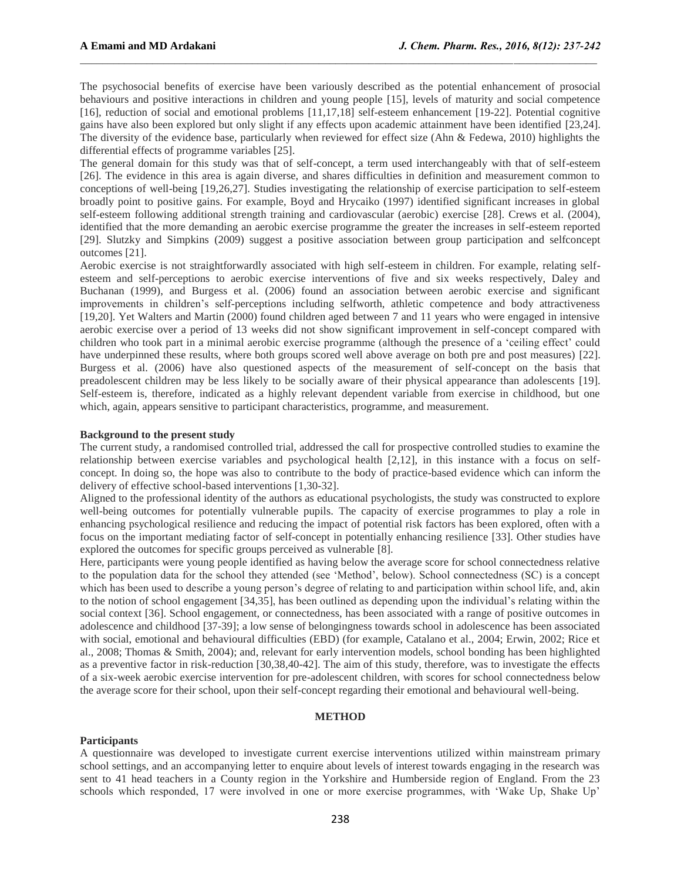The psychosocial benefits of exercise have been variously described as the potential enhancement of prosocial behaviours and positive interactions in children and young people [15], levels of maturity and social competence [16], reduction of social and emotional problems [11,17,18] self-esteem enhancement [19-22]. Potential cognitive gains have also been explored but only slight if any effects upon academic attainment have been identified [23,24]. The diversity of the evidence base, particularly when reviewed for effect size (Ahn & Fedewa, 2010) highlights the differential effects of programme variables [25].

The general domain for this study was that of self-concept, a term used interchangeably with that of self-esteem [26]. The evidence in this area is again diverse, and shares difficulties in definition and measurement common to conceptions of well-being [19,26,27]. Studies investigating the relationship of exercise participation to self-esteem broadly point to positive gains. For example, Boyd and Hrycaiko (1997) identified significant increases in global self-esteem following additional strength training and cardiovascular (aerobic) exercise [28]. Crews et al. (2004), identified that the more demanding an aerobic exercise programme the greater the increases in self-esteem reported [29]. Slutzky and Simpkins (2009) suggest a positive association between group participation and selfconcept outcomes [21].

Aerobic exercise is not straightforwardly associated with high self-esteem in children. For example, relating selfesteem and self-perceptions to aerobic exercise interventions of five and six weeks respectively, Daley and Buchanan (1999), and Burgess et al. (2006) found an association between aerobic exercise and significant improvements in children's self-perceptions including selfworth, athletic competence and body attractiveness [19,20]. Yet Walters and Martin (2000) found children aged between 7 and 11 years who were engaged in intensive aerobic exercise over a period of 13 weeks did not show significant improvement in self-concept compared with children who took part in a minimal aerobic exercise programme (although the presence of a 'ceiling effect' could have underpinned these results, where both groups scored well above average on both pre and post measures) [22]. Burgess et al. (2006) have also questioned aspects of the measurement of self-concept on the basis that preadolescent children may be less likely to be socially aware of their physical appearance than adolescents [19]. Self-esteem is, therefore, indicated as a highly relevant dependent variable from exercise in childhood, but one which, again, appears sensitive to participant characteristics, programme, and measurement.

#### **Background to the present study**

The current study, a randomised controlled trial, addressed the call for prospective controlled studies to examine the relationship between exercise variables and psychological health [2,12], in this instance with a focus on selfconcept. In doing so, the hope was also to contribute to the body of practice-based evidence which can inform the delivery of effective school-based interventions [1,30-32].

Aligned to the professional identity of the authors as educational psychologists, the study was constructed to explore well-being outcomes for potentially vulnerable pupils. The capacity of exercise programmes to play a role in enhancing psychological resilience and reducing the impact of potential risk factors has been explored, often with a focus on the important mediating factor of self-concept in potentially enhancing resilience [33]. Other studies have explored the outcomes for specific groups perceived as vulnerable [8].

Here, participants were young people identified as having below the average score for school connectedness relative to the population data for the school they attended (see 'Method', below). School connectedness (SC) is a concept which has been used to describe a young person's degree of relating to and participation within school life, and, akin to the notion of school engagement [34,35], has been outlined as depending upon the individual's relating within the social context [36]. School engagement, or connectedness, has been associated with a range of positive outcomes in adolescence and childhood [37-39]; a low sense of belongingness towards school in adolescence has been associated with social, emotional and behavioural difficulties (EBD) (for example, Catalano et al., 2004; Erwin, 2002; Rice et al., 2008; Thomas & Smith, 2004); and, relevant for early intervention models, school bonding has been highlighted as a preventive factor in risk-reduction [30,38,40-42]. The aim of this study, therefore, was to investigate the effects of a six-week aerobic exercise intervention for pre-adolescent children, with scores for school connectedness below the average score for their school, upon their self-concept regarding their emotional and behavioural well-being.

## **METHOD**

## **Participants**

A questionnaire was developed to investigate current exercise interventions utilized within mainstream primary school settings, and an accompanying letter to enquire about levels of interest towards engaging in the research was sent to 41 head teachers in a County region in the Yorkshire and Humberside region of England. From the 23 schools which responded, 17 were involved in one or more exercise programmes, with 'Wake Up, Shake Up'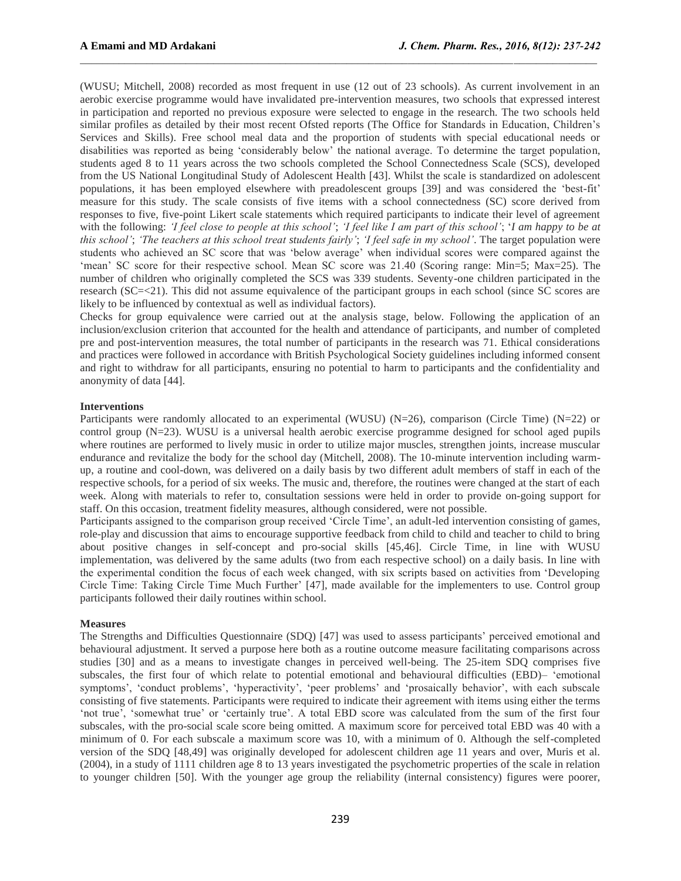(WUSU; Mitchell, 2008) recorded as most frequent in use (12 out of 23 schools). As current involvement in an aerobic exercise programme would have invalidated pre-intervention measures, two schools that expressed interest in participation and reported no previous exposure were selected to engage in the research. The two schools held similar profiles as detailed by their most recent Ofsted reports (The Office for Standards in Education, Children's Services and Skills). Free school meal data and the proportion of students with special educational needs or disabilities was reported as being 'considerably below' the national average. To determine the target population, students aged 8 to 11 years across the two schools completed the School Connectedness Scale (SCS), developed from the US National Longitudinal Study of Adolescent Health [43]. Whilst the scale is standardized on adolescent populations, it has been employed elsewhere with preadolescent groups [39] and was considered the 'best-fit' measure for this study. The scale consists of five items with a school connectedness (SC) score derived from responses to five, five-point Likert scale statements which required participants to indicate their level of agreement with the following: *'I feel close to people at this school'*; *'I feel like I am part of this school'*; '*I am happy to be at this school'*; *'The teachers at this school treat students fairly'*; *'I feel safe in my school'*. The target population were students who achieved an SC score that was 'below average' when individual scores were compared against the 'mean' SC score for their respective school. Mean SC score was 21.40 (Scoring range: Min=5; Max=25). The number of children who originally completed the SCS was 339 students. Seventy-one children participated in the research (SC=<21). This did not assume equivalence of the participant groups in each school (since SC scores are likely to be influenced by contextual as well as individual factors).

Checks for group equivalence were carried out at the analysis stage, below. Following the application of an inclusion/exclusion criterion that accounted for the health and attendance of participants, and number of completed pre and post-intervention measures, the total number of participants in the research was 71. Ethical considerations and practices were followed in accordance with British Psychological Society guidelines including informed consent and right to withdraw for all participants, ensuring no potential to harm to participants and the confidentiality and anonymity of data [44].

#### **Interventions**

Participants were randomly allocated to an experimental (WUSU)  $(N=26)$ , comparison (Circle Time)  $(N=22)$  or control group (N=23). WUSU is a universal health aerobic exercise programme designed for school aged pupils where routines are performed to lively music in order to utilize major muscles, strengthen joints, increase muscular endurance and revitalize the body for the school day (Mitchell, 2008). The 10-minute intervention including warmup, a routine and cool-down, was delivered on a daily basis by two different adult members of staff in each of the respective schools, for a period of six weeks. The music and, therefore, the routines were changed at the start of each week. Along with materials to refer to, consultation sessions were held in order to provide on-going support for staff. On this occasion, treatment fidelity measures, although considered, were not possible.

Participants assigned to the comparison group received 'Circle Time', an adult-led intervention consisting of games, role-play and discussion that aims to encourage supportive feedback from child to child and teacher to child to bring about positive changes in self-concept and pro-social skills [45,46]. Circle Time, in line with WUSU implementation, was delivered by the same adults (two from each respective school) on a daily basis. In line with the experimental condition the focus of each week changed, with six scripts based on activities from 'Developing Circle Time: Taking Circle Time Much Further' [47], made available for the implementers to use. Control group participants followed their daily routines within school.

### **Measures**

The Strengths and Difficulties Questionnaire (SDQ) [47] was used to assess participants' perceived emotional and behavioural adjustment. It served a purpose here both as a routine outcome measure facilitating comparisons across studies [30] and as a means to investigate changes in perceived well-being. The 25-item SDQ comprises five subscales, the first four of which relate to potential emotional and behavioural difficulties (EBD)– 'emotional symptoms', 'conduct problems', 'hyperactivity', 'peer problems' and 'prosaically behavior', with each subscale consisting of five statements. Participants were required to indicate their agreement with items using either the terms 'not true', 'somewhat true' or 'certainly true'. A total EBD score was calculated from the sum of the first four subscales, with the pro-social scale score being omitted. A maximum score for perceived total EBD was 40 with a minimum of 0. For each subscale a maximum score was 10, with a minimum of 0. Although the self-completed version of the SDQ [48,49] was originally developed for adolescent children age 11 years and over, Muris et al. (2004), in a study of 1111 children age 8 to 13 years investigated the psychometric properties of the scale in relation to younger children [50]. With the younger age group the reliability (internal consistency) figures were poorer,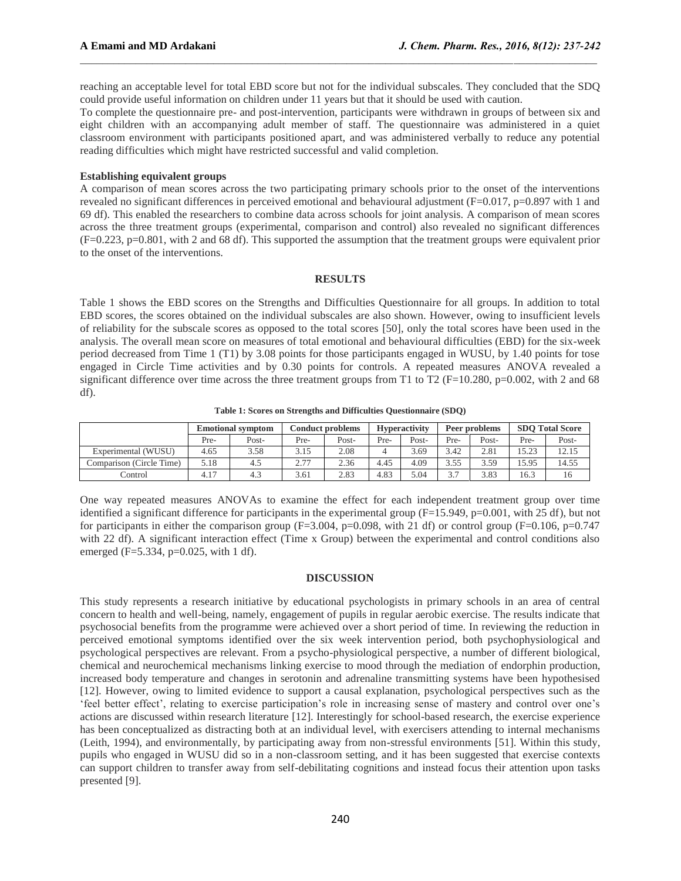reaching an acceptable level for total EBD score but not for the individual subscales. They concluded that the SDQ could provide useful information on children under 11 years but that it should be used with caution.

To complete the questionnaire pre- and post-intervention, participants were withdrawn in groups of between six and eight children with an accompanying adult member of staff. The questionnaire was administered in a quiet classroom environment with participants positioned apart, and was administered verbally to reduce any potential reading difficulties which might have restricted successful and valid completion.

## **Establishing equivalent groups**

A comparison of mean scores across the two participating primary schools prior to the onset of the interventions revealed no significant differences in perceived emotional and behavioural adjustment (F=0.017, p=0.897 with 1 and 69 df). This enabled the researchers to combine data across schools for joint analysis. A comparison of mean scores across the three treatment groups (experimental, comparison and control) also revealed no significant differences  $(F=0.223, p=0.801,$  with 2 and 68 df). This supported the assumption that the treatment groups were equivalent prior to the onset of the interventions.

#### **RESULTS**

Table 1 shows the EBD scores on the Strengths and Difficulties Questionnaire for all groups. In addition to total EBD scores, the scores obtained on the individual subscales are also shown. However, owing to insufficient levels of reliability for the subscale scores as opposed to the total scores [50], only the total scores have been used in the analysis. The overall mean score on measures of total emotional and behavioural difficulties (EBD) for the six-week period decreased from Time 1 (T1) by 3.08 points for those participants engaged in WUSU, by 1.40 points for tose engaged in Circle Time activities and by 0.30 points for controls. A repeated measures ANOVA revealed a significant difference over time across the three treatment groups from T1 to T2 (F=10.280, p=0.002, with 2 and 68 df).

**Table 1: Scores on Strengths and Difficulties Questionnaire (SDQ)**

|                          | <b>Emotional symptom</b> |       | <b>Conduct problems</b> |       | <b>Hyperactivity</b> |       | Peer problems |       | <b>SDO Total Score</b> |       |
|--------------------------|--------------------------|-------|-------------------------|-------|----------------------|-------|---------------|-------|------------------------|-------|
|                          | Pre-                     | Post- | Pre-                    | Post- | Pre-                 | Post- | Pre-          | Post- | Pre-                   | Post- |
| Experimental (WUSU)      | 4.65                     | 3.58  | 3.15                    | 2.08  |                      | 3.69  | 3.42          | 2.81  | 15.23                  | 12.15 |
| Comparison (Circle Time) | 5.18                     | 4.5   | 2.77                    | 2.36  | 4.45                 | 4.09  | 3.55          | 3.59  | 15.95                  | 14.55 |
| Control                  | 4.17                     | 4.3   | 3.61                    | 2.83  | 4.83                 | 5.04  | 37            | 3.83  | 16.3                   | 16    |

One way repeated measures ANOVAs to examine the effect for each independent treatment group over time identified a significant difference for participants in the experimental group  $(F=15.949, p=0.001,$  with 25 df), but not for participants in either the comparison group  $(F=3.004, p=0.098, \text{ with } 21 \text{ df}$  or control group  $(F=0.106, p=0.747)$ with 22 df). A significant interaction effect (Time x Group) between the experimental and control conditions also emerged (F=5.334, p=0.025, with 1 df).

### **DISCUSSION**

This study represents a research initiative by educational psychologists in primary schools in an area of central concern to health and well-being, namely, engagement of pupils in regular aerobic exercise. The results indicate that psychosocial benefits from the programme were achieved over a short period of time. In reviewing the reduction in perceived emotional symptoms identified over the six week intervention period, both psychophysiological and psychological perspectives are relevant. From a psycho-physiological perspective, a number of different biological, chemical and neurochemical mechanisms linking exercise to mood through the mediation of endorphin production, increased body temperature and changes in serotonin and adrenaline transmitting systems have been hypothesised [12]. However, owing to limited evidence to support a causal explanation, psychological perspectives such as the 'feel better effect', relating to exercise participation's role in increasing sense of mastery and control over one's actions are discussed within research literature [12]. Interestingly for school-based research, the exercise experience has been conceptualized as distracting both at an individual level, with exercisers attending to internal mechanisms (Leith, 1994), and environmentally, by participating away from non-stressful environments [51]. Within this study, pupils who engaged in WUSU did so in a non-classroom setting, and it has been suggested that exercise contexts can support children to transfer away from self-debilitating cognitions and instead focus their attention upon tasks presented [9].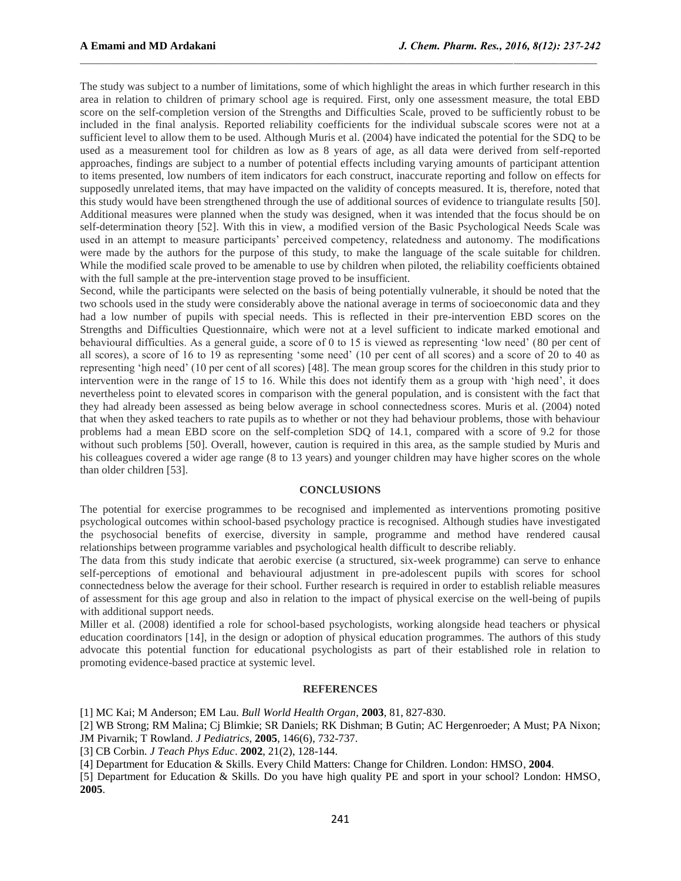The study was subject to a number of limitations, some of which highlight the areas in which further research in this area in relation to children of primary school age is required. First, only one assessment measure, the total EBD score on the self-completion version of the Strengths and Difficulties Scale, proved to be sufficiently robust to be included in the final analysis. Reported reliability coefficients for the individual subscale scores were not at a sufficient level to allow them to be used. Although Muris et al. (2004) have indicated the potential for the SDQ to be used as a measurement tool for children as low as 8 years of age, as all data were derived from self-reported approaches, findings are subject to a number of potential effects including varying amounts of participant attention to items presented, low numbers of item indicators for each construct, inaccurate reporting and follow on effects for supposedly unrelated items, that may have impacted on the validity of concepts measured. It is, therefore, noted that this study would have been strengthened through the use of additional sources of evidence to triangulate results [50]. Additional measures were planned when the study was designed, when it was intended that the focus should be on self-determination theory [52]. With this in view, a modified version of the Basic Psychological Needs Scale was used in an attempt to measure participants' perceived competency, relatedness and autonomy. The modifications were made by the authors for the purpose of this study, to make the language of the scale suitable for children. While the modified scale proved to be amenable to use by children when piloted, the reliability coefficients obtained with the full sample at the pre-intervention stage proved to be insufficient.

Second, while the participants were selected on the basis of being potentially vulnerable, it should be noted that the two schools used in the study were considerably above the national average in terms of socioeconomic data and they had a low number of pupils with special needs. This is reflected in their pre-intervention EBD scores on the Strengths and Difficulties Questionnaire, which were not at a level sufficient to indicate marked emotional and behavioural difficulties. As a general guide, a score of 0 to 15 is viewed as representing 'low need' (80 per cent of all scores), a score of 16 to 19 as representing 'some need' (10 per cent of all scores) and a score of 20 to 40 as representing 'high need' (10 per cent of all scores) [48]. The mean group scores for the children in this study prior to intervention were in the range of 15 to 16. While this does not identify them as a group with 'high need', it does nevertheless point to elevated scores in comparison with the general population, and is consistent with the fact that they had already been assessed as being below average in school connectedness scores. Muris et al. (2004) noted that when they asked teachers to rate pupils as to whether or not they had behaviour problems, those with behaviour problems had a mean EBD score on the self-completion SDQ of 14.1, compared with a score of 9.2 for those without such problems [50]. Overall, however, caution is required in this area, as the sample studied by Muris and his colleagues covered a wider age range (8 to 13 years) and younger children may have higher scores on the whole than older children [53].

#### **CONCLUSIONS**

The potential for exercise programmes to be recognised and implemented as interventions promoting positive psychological outcomes within school-based psychology practice is recognised. Although studies have investigated the psychosocial benefits of exercise, diversity in sample, programme and method have rendered causal relationships between programme variables and psychological health difficult to describe reliably.

The data from this study indicate that aerobic exercise (a structured, six-week programme) can serve to enhance self-perceptions of emotional and behavioural adjustment in pre-adolescent pupils with scores for school connectedness below the average for their school. Further research is required in order to establish reliable measures of assessment for this age group and also in relation to the impact of physical exercise on the well-being of pupils with additional support needs.

Miller et al. (2008) identified a role for school-based psychologists, working alongside head teachers or physical education coordinators [14], in the design or adoption of physical education programmes. The authors of this study advocate this potential function for educational psychologists as part of their established role in relation to promoting evidence-based practice at systemic level.

#### **REFERENCES**

[1] MC Kai; M Anderson; EM Lau. *Bull World Health Organ*, **2003**, 81, 827-830.

[2] WB Strong; RM Malina; Cj Blimkie; SR Daniels; RK Dishman; B Gutin; AC Hergenroeder; A Must; PA Nixon; JM Pivarnik; T Rowland. *J Pediatrics*, **2005**, 146(6), 732-737.

[3] CB Corbin. *J Teach Phys Educ*. **2002**, 21(2), 128-144.

[4] Department for Education & Skills. Every Child Matters: Change for Children. London: HMSO, **2004**.

[5] Department for Education & Skills. Do you have high quality PE and sport in your school? London: HMSO, **2005**.